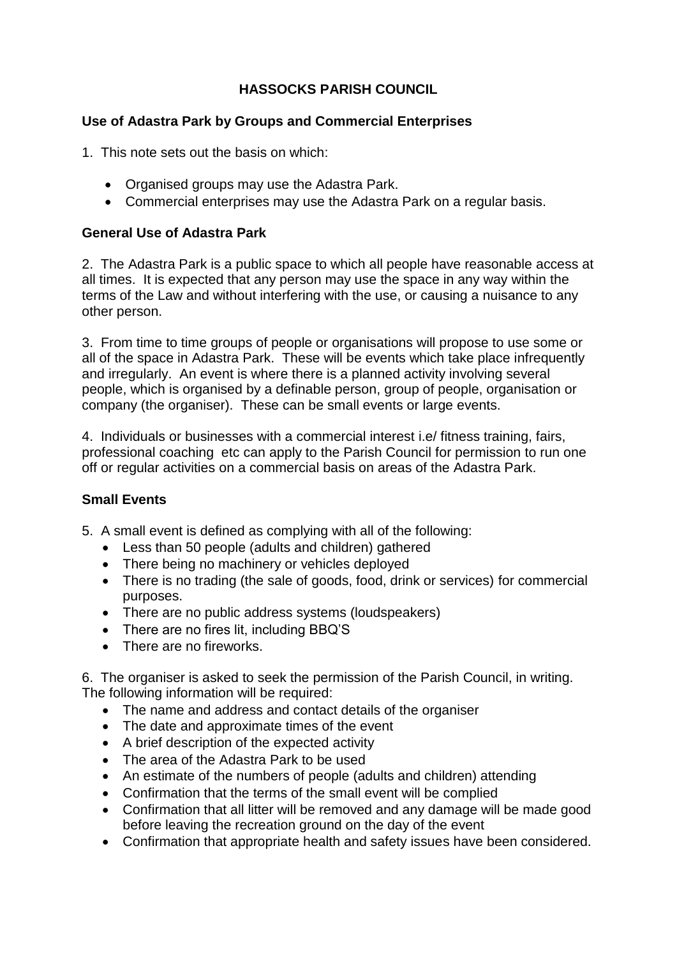## **HASSOCKS PARISH COUNCIL**

### **Use of Adastra Park by Groups and Commercial Enterprises**

1. This note sets out the basis on which:

- Organised groups may use the Adastra Park.
- Commercial enterprises may use the Adastra Park on a regular basis.

### **General Use of Adastra Park**

2. The Adastra Park is a public space to which all people have reasonable access at all times. It is expected that any person may use the space in any way within the terms of the Law and without interfering with the use, or causing a nuisance to any other person.

3. From time to time groups of people or organisations will propose to use some or all of the space in Adastra Park. These will be events which take place infrequently and irregularly. An event is where there is a planned activity involving several people, which is organised by a definable person, group of people, organisation or company (the organiser). These can be small events or large events.

4. Individuals or businesses with a commercial interest i.e/ fitness training, fairs, professional coaching etc can apply to the Parish Council for permission to run one off or regular activities on a commercial basis on areas of the Adastra Park.

#### **Small Events**

- 5. A small event is defined as complying with all of the following:
	- Less than 50 people (adults and children) gathered
	- There being no machinery or vehicles deployed
	- There is no trading (the sale of goods, food, drink or services) for commercial purposes.
	- There are no public address systems (loudspeakers)
	- There are no fires lit, including BBQ'S
	- There are no fireworks.

6. The organiser is asked to seek the permission of the Parish Council, in writing. The following information will be required:

- The name and address and contact details of the organiser
- The date and approximate times of the event
- A brief description of the expected activity
- The area of the Adastra Park to be used
- An estimate of the numbers of people (adults and children) attending
- Confirmation that the terms of the small event will be complied
- Confirmation that all litter will be removed and any damage will be made good before leaving the recreation ground on the day of the event
- Confirmation that appropriate health and safety issues have been considered.